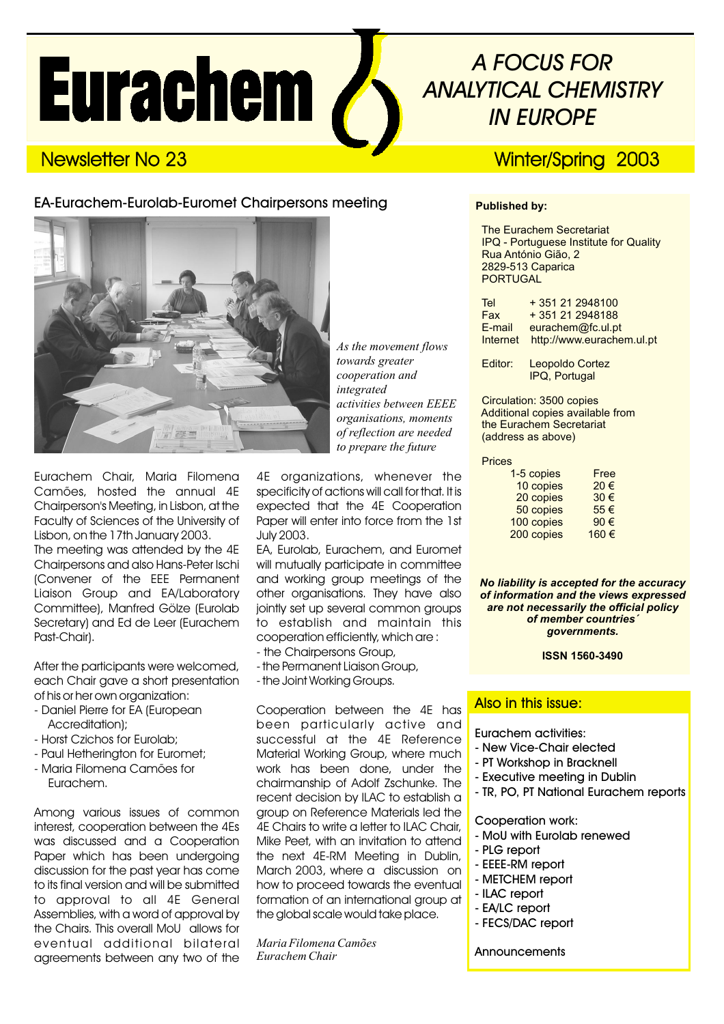# **Eurachem /**

# *A FOCUS FOR ANALYTICAL CHEMISTRY IN EUROPE*

## Newsletter No 23 Newsletter No 23

#### EA-Eurachem-Eurolab-Euromet Chairpersons meeting



Eurachem Chair, Maria Filomena Camões, hosted the annual 4E Chairperson's Meeting, in Lisbon, at the Faculty of Sciences of the University of Lisbon, on the 17th January 2003. The meeting was attended by the 4E Chairpersons and also Hans-Peter Ischi (Convener of the EEE Permanent Liaison Group and EA/Laboratory Committee), Manfred Gölze (Eurolab Secretary) and Ed de Leer (Eurachem Past-Chair).

After the participants were welcomed, each Chair gave a short presentation of his or her own organization:

- Daniel Pierre for EA (European Accreditation);
- Horst Czichos for Eurolab;
- Paul Hetherington for Euromet;
- Maria Filomena Camões for Eurachem.

Among various issues of common interest, cooperation between the 4Es was discussed and a Cooperation Paper which has been undergoing discussion for the past year has come to its final version and will be submitted to approval to all 4E General Assemblies, with a word of approval by the Chairs. This overall MoU allows for eventual additional bilateral agreements between any two of the *As the movement flows towards greater cooperation and integrated activities between EEEE organisations, moments of reflection are needed to prepare the future*

4E organizations, whenever the specificity of actions will call for that. It is expected that the 4E Cooperation Paper will enter into force from the 1st July 2003.

EA, Eurolab, Eurachem, and Euromet will mutually participate in committee and working group meetings of the other organisations. They have also jointly set up several common groups to establish and maintain this cooperation efficiently, which are :

- the Chairpersons Group,
- the Permanent Liaison Group, - the Joint Working Groups.

Cooperation between the 4E has been particularly active and successful at the 4E Reference Material Working Group, where much work has been done, under the chairmanship of Adolf Zschunke. The recent decision by ILAC to establish a group on Reference Materials led the 4E Chairs to write a letter to ILAC Chair, Mike Peet, with an invitation to attend the next 4E-RM Meeting in Dublin, March 2003, where a discussion on how to proceed towards the eventual formation of an international group at the global scale would take place.

*Maria Filomena Camões Eurachem Chair*

#### **Published by:**

The Eurachem Secretariat IPQ - Portuguese Institute for Quality Rua António Gião, 2 2829-513 Caparica PORTUGAL

| Tel      | +351 21 2948100           |
|----------|---------------------------|
| Fax      | + 351 21 2948188          |
| E-mail   | eurachem@fc.ul.pt         |
| Internet | http://www.eurachem.ul.pt |

Editor: Leopoldo Cortez IPQ, Portugal

Circulation: 3500 copies Additional copies available from the Eurachem Secretariat (address as above)

#### Prices

| 1-5 copies | Free |
|------------|------|
| 10 copies  | 20€  |
| 20 copies  | 30€  |
| 50 copies  | 55€  |
| 100 copies | 90€  |
| 200 copies | 160€ |
|            |      |

*No liability is accepted for the accuracy of information and the views expressed are not necessarily the official policy of member countries´ governments.*

#### **ISSN 1560-3490**

#### Also in this issue:

Eurachem activities:

- New Vice-Chair elected
- PT Workshop in Bracknell
- Executive meeting in Dublin
- TR, PO, PT National Eurachem reports

Cooperation work:

- MoU with Eurolab renewed
- PLG report
- EEEE-RM report
- METCHEM report
- ILAC report
- EA/LC report
- FECS/DAC report

**Announcements**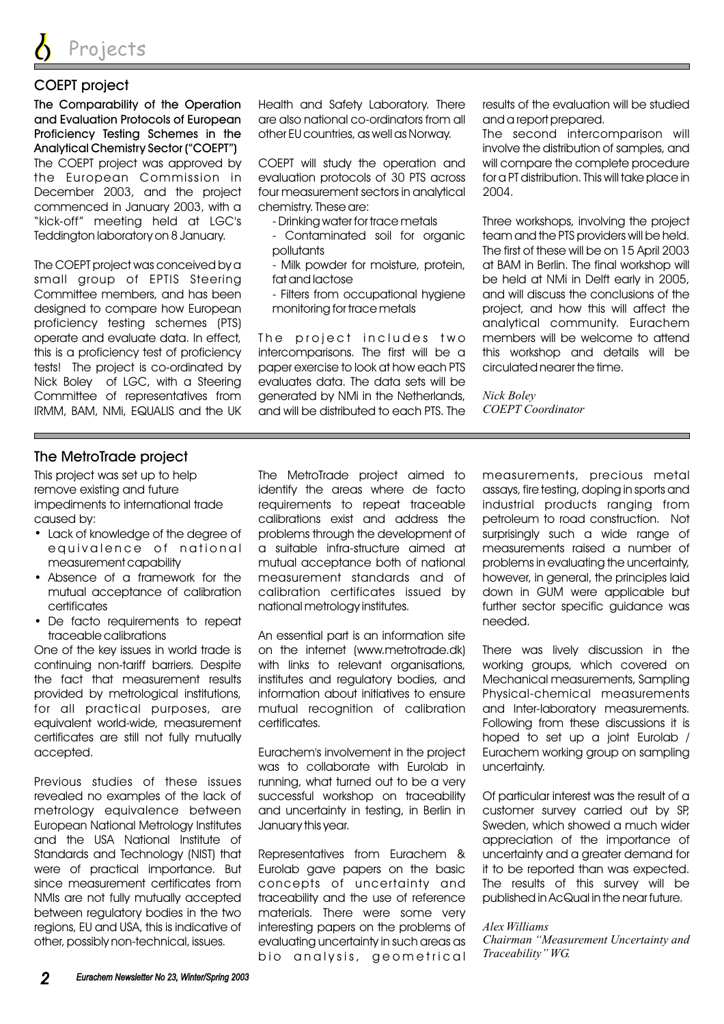#### COEPT project

The Comparability of the Operation and Evaluation Protocols of European Proficiency Testing Schemes in the Analytical Chemistry Sector ("COEPT") The COEPT project was approved by the European Commission in December 2003, and the project commenced in January 2003, with a "kick-off" meeting held at LGC's Teddington laboratory on 8 January.

The COEPT project was conceived by a small group of EPTIS Steering Committee members, and has been designed to compare how European proficiency testing schemes (PTS) operate and evaluate data. In effect, this is a proficiency test of proficiency tests! The project is co-ordinated by Nick Boley of LGC, with a Steering Committee of representatives from IRMM, BAM, NMi, EQUALIS and the UK Health and Safety Laboratory. There are also national co-ordinators from all other EU countries, as well as Norway.

COEPT will study the operation and evaluation protocols of 30 PTS across four measurement sectors in analytical chemistry. These are:

- Drinking water for trace metals
- Contaminated soil for organic pollutants
- Milk powder for moisture, protein, fat and lactose
- Filters from occupational hygiene monitoring for trace metals

The project includes two intercomparisons. The first will be a paper exercise to look at how each PTS evaluates data. The data sets will be generated by NMi in the Netherlands, and will be distributed to each PTS. The results of the evaluation will be studied and a report prepared.

The second intercomparison will involve the distribution of samples, and will compare the complete procedure for a PT distribution. This will take place in 2004.

Three workshops, involving the project team and the PTS providers will be held. The first of these will be on 15 April 2003 at BAM in Berlin. The final workshop will be held at NMi in Delft early in 2005, and will discuss the conclusions of the project, and how this will affect the analytical community. Eurachem members will be welcome to attend this workshop and details will be circulated nearer the time.

*Nick Boley COEPT Coordinator*

#### The MetroTrade project

This project was set up to help remove existing and future impediments to international trade caused by:

- Lack of knowledge of the degree of equivalence of national measurement capability
- Absence of a framework for the mutual acceptance of calibration certificates
- De facto requirements to repeat traceable calibrations

One of the key issues in world trade is continuing non-tariff barriers. Despite the fact that measurement results provided by metrological institutions, for all practical purposes, are equivalent world-wide, measurement certificates are still not fully mutually accepted.

Previous studies of these issues revealed no examples of the lack of metrology equivalence between European National Metrology Institutes and the USA National Institute of Standards and Technology (NIST) that were of practical importance. But since measurement certificates from NMIs are not fully mutually accepted between regulatory bodies in the two regions, EU and USA, this is indicative of other, possibly non-technical, issues.

The MetroTrade project aimed to identify the areas where de facto requirements to repeat traceable calibrations exist and address the problems through the development of a suitable infra-structure aimed at mutual acceptance both of national measurement standards and of calibration certificates issued by national metrology institutes.

An essential part is an information site on the internet (www.metrotrade.dk) with links to relevant organisations, institutes and regulatory bodies, and information about initiatives to ensure mutual recognition of calibration certificates.

Eurachem's involvement in the project was to collaborate with Eurolab in running, what turned out to be a very successful workshop on traceability and uncertainty in testing, in Berlin in January this year.

Representatives from Eurachem & Eurolab gave papers on the basic concepts of uncertainty and traceability and the use of reference materials. There were some very interesting papers on the problems of evaluating uncertainty in such areas as bio analysis, geometrical

measurements, precious metal assays, fire testing, doping in sports and industrial products ranging from petroleum to road construction. Not surprisingly such a wide range of measurements raised a number of problems in evaluating the uncertainty, however, in general, the principles laid down in GUM were applicable but further sector specific guidance was needed.

There was lively discussion in the working groups, which covered on Mechanical measurements, Sampling Physical-chemical measurements and Inter-laboratory measurements. Following from these discussions it is hoped to set up a joint Eurolab / Eurachem working group on sampling uncertainty.

Of particular interest was the result of a customer survey carried out by SP, Sweden, which showed a much wider appreciation of the importance of uncertainty and a greater demand for it to be reported than was expected. The results of this survey will be published in AcQual in the near future.

#### *Alex Williams*

*Chairman "Measurement Uncertainty and Traceability" WG.*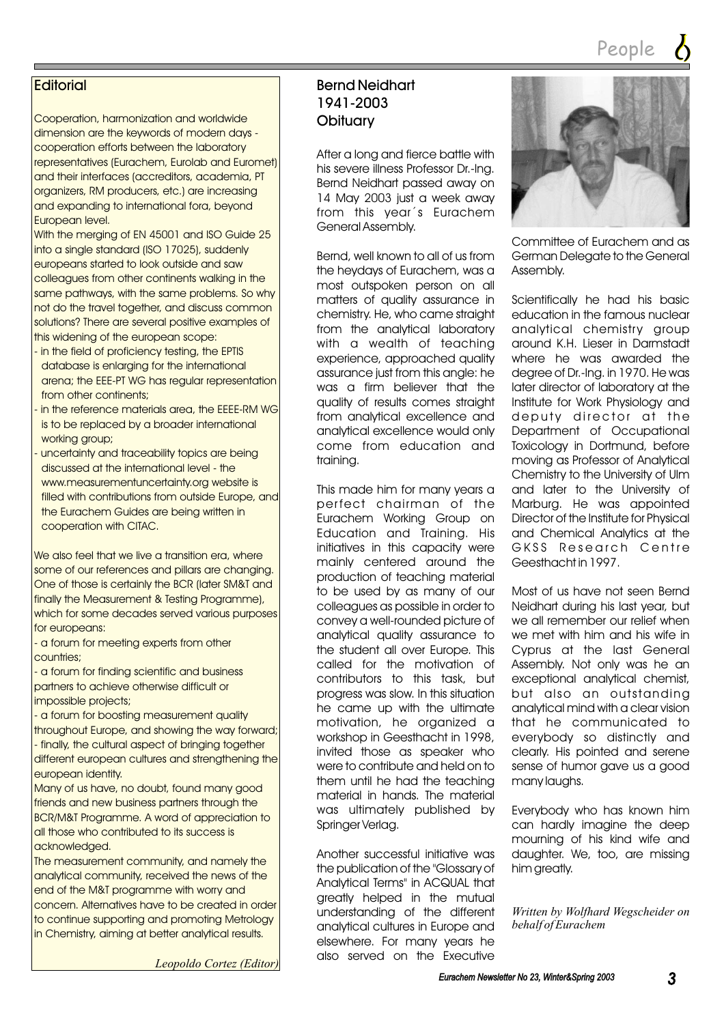#### **Editorial**

Cooperation, harmonization and worldwide dimension are the keywords of modern days cooperation efforts between the laboratory representatives (Eurachem, Eurolab and Euromet) and their interfaces (accreditors, academia, PT organizers, RM producers, etc.) are increasing and expanding to international fora, beyond European level.

With the merging of EN 45001 and ISO Guide 25 into a single standard (ISO 17025), suddenly europeans started to look outside and saw colleagues from other continents walking in the same pathways, with the same problems. So why not do the travel together, and discuss common solutions? There are several positive examples of this widening of the european scope:

- in the field of proficiency testing, the EPTIS database is enlarging for the international arena; the EEE-PT WG has regular representation from other continents;
- in the reference materials area, the EEEE-RM WG is to be replaced by a broader international working group;
- uncertainty and traceability topics are being discussed at the international level - the www.measurementuncertainty.org website is filled with contributions from outside Europe, and the Eurachem Guides are being written in cooperation with CITAC.

We also feel that we live a transition era, where some of our references and pillars are changing. One of those is certainly the BCR (later SM&T and finally the Measurement & Testing Programme), which for some decades served various purposes for europeans:

- a forum for meeting experts from other countries;

- a forum for finding scientific and business partners to achieve otherwise difficult or impossible projects;

- a forum for boosting measurement quality throughout Europe, and showing the way forward; - finally, the cultural aspect of bringing together different european cultures and strengthening the european identity.

Many of us have, no doubt, found many good friends and new business partners through the BCR/M&T Programme. A word of appreciation to all those who contributed to its success is acknowledged.

The measurement community, and namely the analytical community, received the news of the end of the M&T programme with worry and concern. Alternatives have to be created in order to continue supporting and promoting Metrology in Chemistry, aiming at better analytical results.

*Leopoldo Cortez (Editor)*

#### Bernd Neidhart 1941-2003 **Obituary**

After a long and fierce battle with his severe illness Professor Dr.-Ing. Bernd Neidhart passed away on 14 May 2003 just a week away from this year´s Eurachem General Assembly.

Bernd, well known to all of us from the heydays of Eurachem, was a most outspoken person on all matters of quality assurance in chemistry. He, who came straight from the analytical laboratory with a wealth of teaching experience, approached quality assurance just from this angle: he was a firm believer that the quality of results comes straight from analytical excellence and analytical excellence would only come from education and training.

This made him for many years a perfect chairman of the Eurachem Working Group on Education and Training. His initiatives in this capacity were mainly centered around the production of teaching material to be used by as many of our colleagues as possible in order to convey a well-rounded picture of analytical quality assurance to the student all over Europe. This called for the motivation of contributors to this task, but progress was slow. In this situation he came up with the ultimate motivation, he organized a workshop in Geesthacht in 1998, invited those as speaker who were to contribute and held on to them until he had the teaching material in hands. The material was ultimately published by Springer Verlag.

Another successful initiative was the publication of the "Glossary of Analytical Terms" in ACQUAL that greatly helped in the mutual understanding of the different analytical cultures in Europe and elsewhere. For many years he also served on the Executive



Committee of Eurachem and as German Delegate to the General Assembly.

Scientifically he had his basic education in the famous nuclear analytical chemistry group around K.H. Lieser in Darmstadt where he was awarded the degree of Dr.-Ing. in 1970. He was later director of laboratory at the Institute for Work Physiology and deputy director at the Department of Occupational Toxicology in Dortmund, before moving as Professor of Analytical Chemistry to the University of Ulm and later to the University of Marburg. He was appointed Director of the Institute for Physical and Chemical Analytics at the GKSS Research Centre Geesthacht in 1997.

Most of us have not seen Bernd Neidhart during his last year, but we all remember our relief when we met with him and his wife in Cyprus at the last General Assembly. Not only was he an exceptional analytical chemist, but also an outstanding analytical mind with a clear vision that he communicated to everybody so distinctly and clearly. His pointed and serene sense of humor gave us a good many laughs.

Everybody who has known him can hardly imagine the deep mourning of his kind wife and daughter. We, too, are missing him greatly.

*Written by Wolfhard Wegscheider on behalf of Eurachem*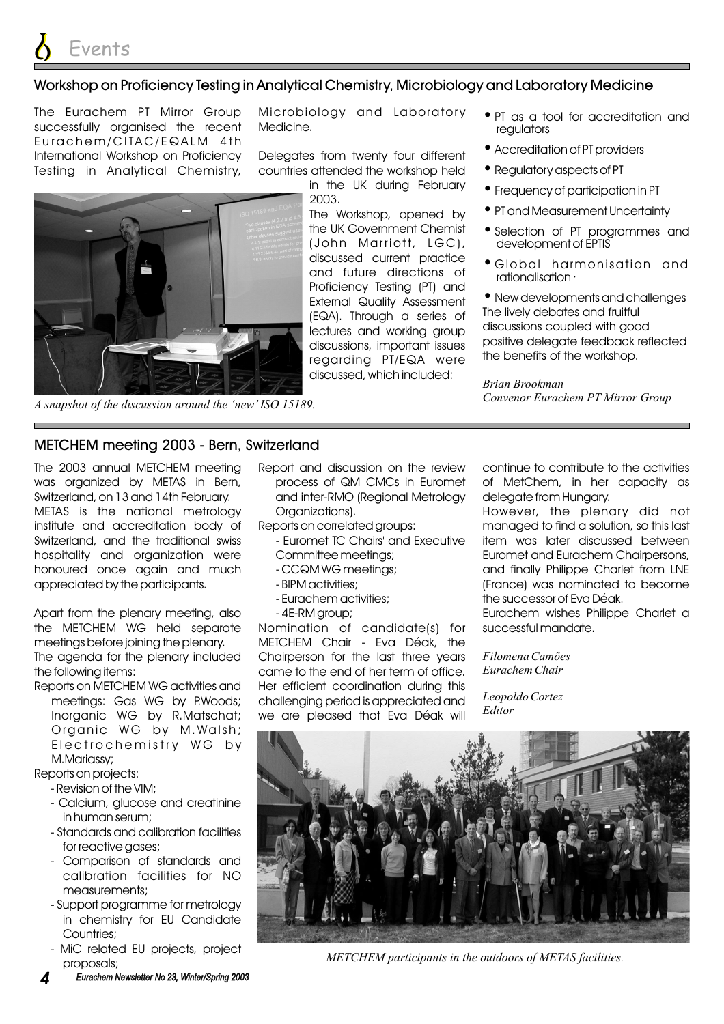#### Workshop on Proficiency Testing in Analytical Chemistry, Microbiology and Laboratory Medicine

The Eurachem PT Mirror Group successfully organised the recent Eurachem/CITAC/EQALM 4th International Workshop on Proficiency Testing in Analytical Chemistry,

Microbiology and Laboratory Medicine.

Delegates from twenty four different countries attended the workshop held

in the UK during February

2003.

*A snapshot of the discussion around the 'new' ISO 15189.*

#### METCHEM meeting 2003 - Bern, Switzerland

The 2003 annual METCHEM meeting was organized by METAS in Bern, Switzerland, on 13 and 14th February. METAS is the national metrology institute and accreditation body of Switzerland, and the traditional swiss hospitality and organization were honoured once again and much appreciated by the participants.

Apart from the plenary meeting, also the METCHEM WG held separate meetings before joining the plenary. The agenda for the plenary included

the following items:

Reports on METCHEM WG activities and meetings: Gas WG by P.Woods; Inorganic WG by R.Matschat; Organic WG by M.Walsh; Electrochemistry WG by M.Mariassy;

Reports on projects:

- Revision of the VIM;
- Calcium, glucose and creatinine in human serum;
- Standards and calibration facilities for reactive gases;
- Comparison of standards and calibration facilities for NO measurements;
- Support programme for metrology in chemistry for EU Candidate Countries;
- MiC related EU projects, project proposals;

*4 Eurachem Newsletter No 23, Winter/Spring 2003 Eurachem Newsletter No 23, Winter/Spring*

Report and discussion on the review process of QM CMCs in Euromet and inter-RMO (Regional Metrology Organizations).

Reports on correlated groups:

- Euromet TC Chairs' and Executive
	- Committee meetings;
	- CCQM WG meetings;
	- BIPM activities;
	- Eurachem activities; -
	- 4E-RM group;

Nomination of candidate(s) for METCHEM Chair - Eva Déak, the Chairperson for the last three years came to the end of her term of office. Her efficient coordination during this challenging period is appreciated and we are pleased that Eva Déak will

continue to contribute to the activities of MetChem, in her capacity as delegate from Hungary.

managed to find a solution, so this last item was later discussed between Euromet and Eurachem Chairpersons, and finally Philippe Charlet from LNE (France) was nominated to become the successor of Eva Déak. However, the plenary did not

Eurachem wishes Philippe Charlet a successful mandate.

*Filomena Camões Eurachem Chair*

*Leopoldo Cortez Editor*





- PT as a tool for accreditation and regulators
- Accreditation of PT providers •
- Regulatory aspects of PT
- Frequency of participation in PT
- PT and Measurement Uncertainty
- Selection of PT programmes and development of EPTIS
- Global harmonisation and rationalisation ·

New developments and challenges • The lively debates and fruitful discussions coupled with good positive delegate feedback reflected the benefits of the workshop.

*Brian Brookman Convenor Eurachem PT Mirror Group*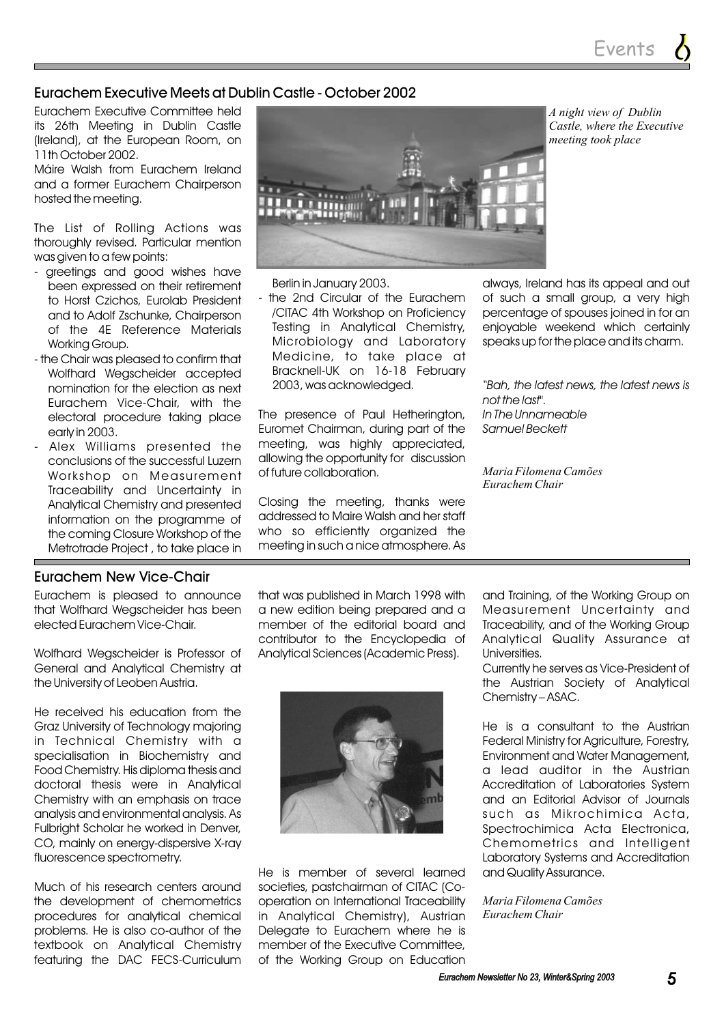Events

#### Eurachem Executive Meets at Dublin Castle - October 2002

Eurachem Executive Committee held its 26th Meeting in Dublin Castle (Ireland), at the European Room, on 11th October 2002.

Máire Walsh from Eurachem Ireland and a former Eurachem Chairperson hosted the meeting.

The List of Rolling Actions was thoroughly revised. Particular mention was given to a few points:

- greetings and good wishes have been expressed on their retirement to Horst Czichos, Eurolab President and to Adolf Zschunke, Chairperson of the 4E Reference Materials Working Group.
- the Chair was pleased to confirm that Wolfhard Wegscheider accepted nomination for the election as next Eurachem Vice-Chair, with the electoral procedure taking place early in 2003.
- Alex Williams presented the conclusions of the successful Luzern Workshop on Measurement Traceability and Uncertainty in Analytical Chemistry and presented information on the programme of the coming Closure Workshop of the Metrotrade Project , to take place in



*A night view of Dublin Castle, where the Executive meeting took place*

Berlin in January 2003.

- the 2nd Circular of the Eurachem /CITAC 4th Workshop on Proficiency Testing in Analytical Chemistry, Microbiology and Laboratory Medicine, to take place at Bracknell-UK on 16-18 February 2003, was acknowledged.

The presence of Paul Hetherington, Euromet Chairman, during part of the meeting, was highly appreciated, allowing the opportunity for discussion of future collaboration.

Closing the meeting, thanks were addressed to Maire Walsh and her staff who so efficiently organized the meeting in such a nice atmosphere. As always, Ireland has its appeal and out of such a small group, a very high percentage of spouses joined in for an enjoyable weekend which certainly speaks up for the place and its charm.

*"Bah, the latest news, the latest news is not the last". In The Unnameable Samuel Beckett*

*Maria Filomena Camões Eurachem Chair*

#### Eurachem New Vice-Chair

Eurachem is pleased to announce that Wolfhard Wegscheider has been elected Eurachem Vice-Chair.

Wolfhard Wegscheider is Professor of General and Analytical Chemistry at the University of Leoben Austria.

He received his education from the Graz University of Technology majoring in Technical Chemistry with a specialisation in Biochemistry and Food Chemistry. His diploma thesis and doctoral thesis were in Analytical Chemistry with an emphasis on trace analysis and environmental analysis. As Fulbright Scholar he worked in Denver, CO, mainly on energy-dispersive X-ray fluorescence spectrometry.

Much of his research centers around the development of chemometrics procedures for analytical chemical problems. He is also co-author of the textbook on Analytical Chemistry featuring the DAC FECS-Curriculum

that was published in March 1998 with a new edition being prepared and a member of the editorial board and contributor to the Encyclopedia of Analytical Sciences (Academic Press).



He is member of several learned societies, pastchairman of CITAC (Cooperation on International Traceability in Analytical Chemistry), Austrian Delegate to Eurachem where he is member of the Executive Committee, of the Working Group on Education

and Training, of the Working Group on Measurement Uncertainty and Traceability, and of the Working Group Analytical Quality Assurance at Universities.

Currently he serves as Vice-President of the Austrian Society of Analytical Chemistry – ASAC.

He is a consultant to the Austrian Federal Ministry for Agriculture, Forestry, Environment and Water Management, a lead auditor in the Austrian Accreditation of Laboratories System and an Editorial Advisor of Journals such as Mikrochimica Acta, Spectrochimica Acta Electronica, Chemometrics and Intelligent Laboratory Systems and Accreditation and Quality Assurance.

*Maria Filomena Camões Eurachem Chair*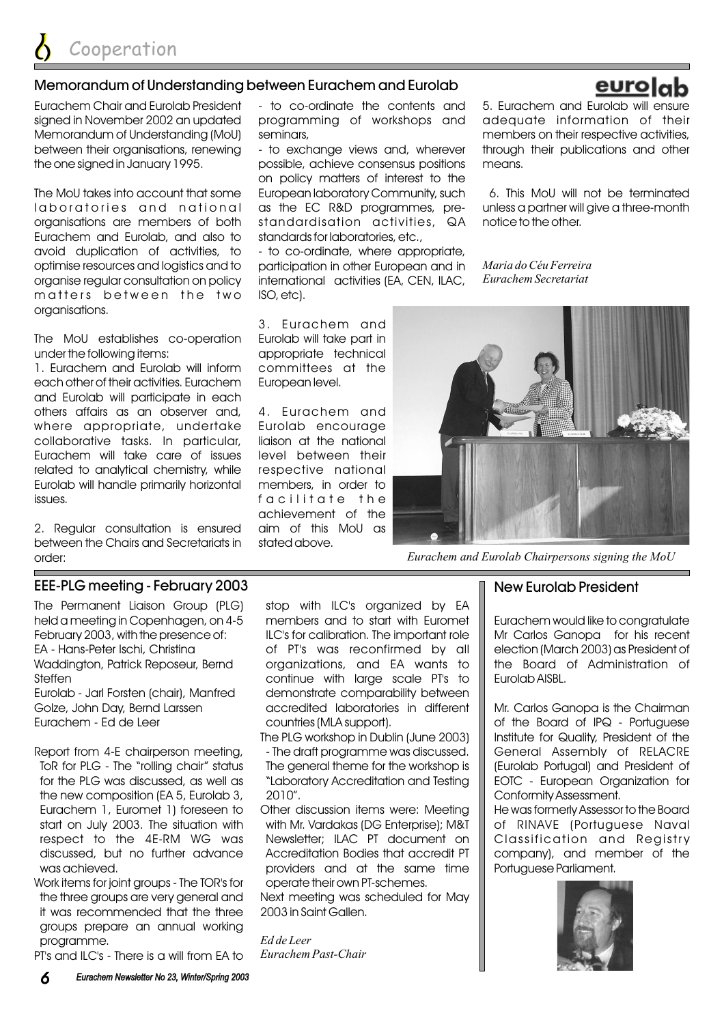#### Memorandum of Understanding between Eurachem and Eurolab

Eurachem Chair and Eurolab President signed in November 2002 an updated Memorandum of Understanding (MoU) between their organisations, renewing the one signed in January 1995.

The MoU takes into account that some laboratories and national organisations are members of both Eurachem and Eurolab, and also to avoid duplication of activities, to optimise resources and logistics and to organise regular consultation on policy matters between the two organisations.

The MoU establishes co-operation under the following items:

1. Eurachem and Eurolab will inform each other of their activities. Eurachem and Eurolab will participate in each others affairs as an observer and, where appropriate, undertake collaborative tasks. In particular, Eurachem will take care of issues related to analytical chemistry, while Eurolab will handle primarily horizontal issues.

2. Regular consultation is ensured between the Chairs and Secretariats in order:

#### EEE-PLG meeting - February 2003

The Permanent Liaison Group (PLG) held a meeting in Copenhagen, on 4-5 February 2003, with the presence of: EA - Hans-Peter Ischi, Christina Waddington, Patrick Reposeur, Bernd Steffen Eurolab - Jarl Forsten (chair), Manfred

Golze, John Day, Bernd Larssen Eurachem - Ed de Leer

- Report from 4-E chairperson meeting, ToR for PLG - The "rolling chair" status for the PLG was discussed, as well as the new composition (EA 5, Eurolab 3, Eurachem 1, Euromet 1) foreseen to start on July 2003. The situation with respect to the 4E-RM WG was discussed, but no further advance was achieved.
- Work items for joint groups The TOR's for the three groups are very general and it was recommended that the three groups prepare an annual working programme.

PT's and ILC's - There is a will from EA to

- to co-ordinate the contents and programming of workshops and seminars,

- to exchange views and, wherever possible, achieve consensus positions on policy matters of interest to the European laboratory Community, such as the EC R&D programmes, prestandardisation activities, QA standards for laboratories, etc.,

- to co-ordinate, where appropriate, participation in other European and in international activities (EA, CEN, ILAC, ISO, etc).

3. Eurachem and Eurolab will take part in appropriate technical committees at the European level.

4. Eurachem and Eurolab encourage liaison at the national level between their respective national members, in order to facilitate the achievement of the aim of this MoU as stated above.

The PLG workshop in Dublin (June 2003) - The draft programme was discussed. The general theme for the workshop is "Laboratory Accreditation and Testing

countries (MLA support).

stop with ILC's organized by EA members and to start with Euromet ILC's for calibration. The important role of PT's was reconfirmed by all organizations, and EA wants to continue with large scale PT's to demonstrate comparability between accredited laboratories in different

Other discussion items were: Meeting with Mr. Vardakas (DG Enterprise); M&T Newsletter; ILAC PT document on Accreditation Bodies that accredit PT providers and at the same time

Next meeting was scheduled for May

operate their own PT-schemes.

2003 in Saint Gallen.

*Eurachem Past-Chair*

2010".

*Ed de Leer*



*Eurachem and Eurolab Chairpersons signing the MoU*

#### New Eurolab President

Eurachem would like to congratulate Mr Carlos Ganopa for his recent election (March 2003) as President of the Board of Administration of Eurolab AISBL.

Mr. Carlos Ganopa is the Chairman of the Board of IPQ - Portuguese Institute for Quality, President of the General Assembly of RELACRE (Eurolab Portugal) and President of EOTC - European Organization for Conformity Assessment.

He was formerly Assessor to the Board of RINAVE (Portuguese Naval Classification and Registry company), and member of the Portuguese Parliament.



#### eurolab 5. Eurachem and Eurolab will ensure

adequate information of their members on their respective activities, through their publications and other

6. This MoU will not be terminated unless a partner will give a three-month

means.

notice to the other.

*Maria do Céu Ferreira Eurachem Secretariat*

*6 Eurachem Newsletter No 23, Winter/Spring 2003 Eurachem Newsletter No 23, Winter/Spring*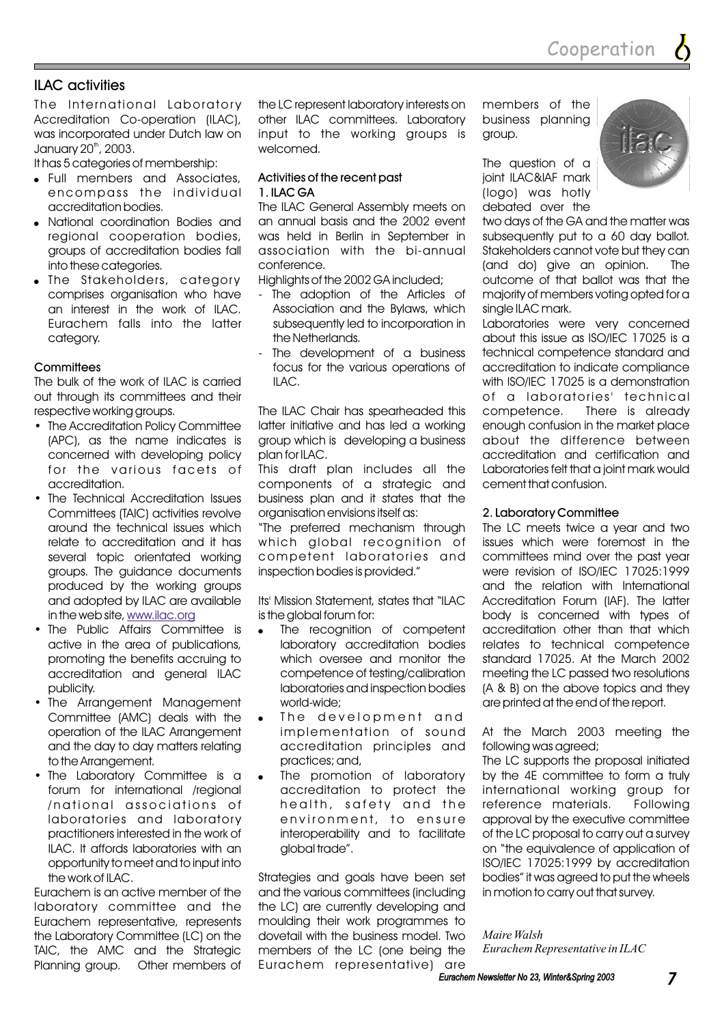#### ILAC activities

The International Laboratory Accreditation Co-operation (ILAC), was incorporated under Dutch law on January 20<sup>th</sup>, 2003.

It has 5 categories of membership:

- Full members and Associates, encompass the individual accreditation bodies.
- National coordination Bodies and regional cooperation bodies, groups of accreditation bodies fall into these categories.
- The Stakeholders, category comprises organisation who have an interest in the work of ILAC. Eurachem falls into the latter category.

#### **Committees**

The bulk of the work of ILAC is carried out through its committees and their respective working groups.

- The Accreditation Policy Committee (APC), as the name indicates is concerned with developing policy for the various facets of accreditation.
- The Technical Accreditation Issues Committees (TAIC) activities revolve around the technical issues which relate to accreditation and it has several topic orientated working groups. The guidance documents produced by the working groups and adopted by ILAC are available in the web site, <u>www.ilac.org</u>
- The Public Affairs Committee is active in the area of publications, promoting the benefits accruing to accreditation and general ILAC publicity.
- The Arrangement Management Committee (AMC) deals with the operation of the ILAC Arrangement and the day to day matters relating to the Arrangement.
- The Laboratory Committee is a forum for international /regional /national associations of laboratories and laboratory practitioners interested in the work of ILAC. It affords laboratories with an opportunity to meet and to input into the work of ILAC.

Eurachem is an active member of the laboratory committee and the Eurachem representative, represents the Laboratory Committee (LC) on the TAIC, the AMC and the Strategic Planning group. Other members of the LC represent laboratory interests on other ILAC committees. Laboratory input to the working groups is welcomed.

#### Activities of the recent past 1. ILAC GA

The ILAC General Assembly meets on an annual basis and the 2002 event was held in Berlin in September in association with the bi-annual conference.

Highlights of the 2002 GA included;

- The adoption of the Articles of Association and the Bylaws, which subsequently led to incorporation in the Netherlands.
- The development of a business focus for the various operations of  $II$  AC.

The ILAC Chair has spearheaded this latter initiative and has led a working group which is developing a business plan for ILAC.

This draft plan includes all the components of a strategic and business plan and it states that the organisation envisions itself as:

"The preferred mechanism through which global recognition of competent laboratories and inspection bodies is provided."

Its' Mission Statement, states that "ILAC is the global forum for:

- The recognition of competent laboratory accreditation bodies which oversee and monitor the competence of testing/calibration laboratories and inspection bodies world-wide;  $\bullet$
- The development and implementation of sound accreditation principles and practices; and,  $\bullet$
- The promotion of laboratory accreditation to protect the health, safety and the environment, to ensure interoperability and to facilitate global trade".  $\bullet$

Strategies and goals have been set and the various committees (including the LC) are currently developing and moulding their work programmes to dovetail with the business model. Two members of the LC (one being the Eurachem representative) are

members of the business planning group.

The question of a joint ILAC&IAF mark (logo) was hotly debated over the



two days of the GA and the matter was subsequently put to a 60 day ballot. Stakeholders cannot vote but they can (and do) give an opinion. The outcome of that ballot was that the majority of members voting opted for a single ILAC mark.

Laboratories were very concerned about this issue as ISO/IEC 17025 is a technical competence standard and accreditation to indicate compliance with ISO/IEC 17025 is a demonstration of a laboratories' technical competence. There is already enough confusion in the market place about the difference between accreditation and certification and Laboratories felt that a joint mark would cement that confusion.

#### 2. Laboratory Committee

The LC meets twice a year and two issues which were foremost in the committees mind over the past year were revision of ISO/IEC 17025:1999 and the relation with International Accreditation Forum (IAF). The latter body is concerned with types of accreditation other than that which relates to technical competence standard 17025. At the March 2002 meeting the LC passed two resolutions (A & B) on the above topics and they are printed at the end of the report.

At the March 2003 meeting the following was agreed;

The LC supports the proposal initiated by the 4E committee to form a truly international working group for reference materials. Following approval by the executive committee of the LC proposal to carry out a survey on "the equivalence of application of ISO/IEC 17025:1999 by accreditation bodies" it was agreed to put the wheels in motion to carry out that survey.

*Maire Walsh Eurachem Representative in ILAC*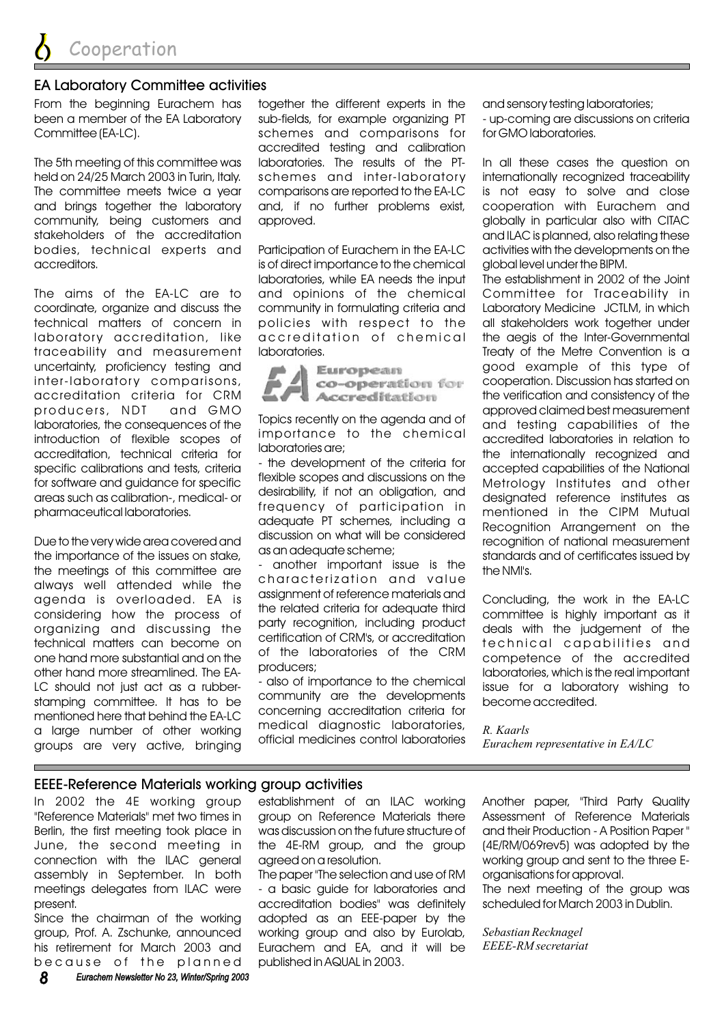#### EA Laboratory Committee activities

From the beginning Eurachem has been a member of the EA Laboratory Committee (EA-LC).

The 5th meeting of this committee was held on 24/25 March 2003 in Turin, Italy. The committee meets twice a year and brings together the laboratory community, being customers and stakeholders of the accreditation bodies, technical experts and accreditors.

The aims of the EA-LC are to coordinate, organize and discuss the technical matters of concern in laboratory accreditation, like traceability and measurement uncertainty, proficiency testing and inter-laboratory comparisons, accreditation criteria for CRM producers, NDT and GMO laboratories, the consequences of the introduction of flexible scopes of accreditation, technical criteria for specific calibrations and tests, criteria for software and guidance for specific areas such as calibration-, medical- or pharmaceutical laboratories.

Due to the very wide area covered and the importance of the issues on stake, the meetings of this committee are always well attended while the agenda is overloaded. EA is considering how the process of organizing and discussing the technical matters can become on one hand more substantial and on the other hand more streamlined. The EA-LC should not just act as a rubberstamping committee. It has to be mentioned here that behind the FA-LC a large number of other working groups are very active, bringing

together the different experts in the sub-fields, for example organizing PT schemes and comparisons for accredited testing and calibration laboratories. The results of the PTschemes and inter-laboratory comparisons are reported to the EA-LC and, if no further problems exist, approved.

Participation of Eurachem in the EA-IC is of direct importance to the chemical laboratories, while EA needs the input and opinions of the chemical community in formulating criteria and policies with respect to the accreditation of chemical laboratories.



Topics recently on the agenda and of importance to the chemical laboratories are;

- the development of the criteria for flexible scopes and discussions on the desirability, if not an obligation, and frequency of participation in adequate PT schemes, including a discussion on what will be considered as an adequate scheme;

- another important issue is the characterization and value assignment of reference materials and the related criteria for adequate third party recognition, including product certification of CRM's, or accreditation of the laboratories of the CRM producers;

- also of importance to the chemical community are the developments concerning accreditation criteria for medical diagnostic laboratories, official medicines control laboratories and sensory testing laboratories; - up-coming are discussions on criteria for GMO laboratories.

In all these cases the question on internationally recognized traceability is not easy to solve and close cooperation with Eurachem and globally in particular also with CITAC and ILAC is planned, also relating these activities with the developments on the global level under the BIPM.

The establishment in 2002 of the Joint Committee for Traceability in Laboratory Medicine JCTLM, in which all stakeholders work together under the aegis of the Inter-Governmental Treaty of the Metre Convention is a good example of this type of cooperation. Discussion has started on the verification and consistency of the approved claimed best measurement and testing capabilities of the accredited laboratories in relation to the internationally recognized and accepted capabilities of the National Metrology Institutes and other designated reference institutes as mentioned in the CIPM Mutual Recognition Arrangement on the recognition of national measurement standards and of certificates issued by the NMI's.

Concluding, the work in the EA-LC committee is highly important as it deals with the judgement of the technical capabilities and competence of the accredited laboratories, which is the real important issue for a laboratory wishing to become accredited.

*R. Kaarls Eurachem representative in EA/LC*

#### EEEE-Reference Materials working group activities

In 2002 the 4E working group "Reference Materials" met two times in Berlin, the first meeting took place in June, the second meeting in connection with the ILAC general assembly in September. In both meetings delegates from ILAC were present.

Since the chairman of the working group, Prof. A. Zschunke, announced his retirement for March 2003 and because of the planned

*8 Eurachem Newsletter No 23, Winter/Spring 2003 Eurachem Newsletter No 23, Winter/Spring*

establishment of an ILAC working group on Reference Materials there was discussion on the future structure of the 4E-RM group, and the group agreed on a resolution.

The paper "The selection and use of RM - a basic guide for laboratories and accreditation bodies" was definitely adopted as an EEE-paper by the working group and also by Eurolab, Eurachem and EA, and it will be published in AQUAL in 2003.

Another paper, "Third Party Quality Assessment of Reference Materials and their Production - A Position Paper " (4E/RM/069rev5) was adopted by the working group and sent to the three Eorganisations for approval. The next meeting of the group was scheduled for March 2003 in Dublin.

*Sebastian Recknagel EEEE-RM secretariat*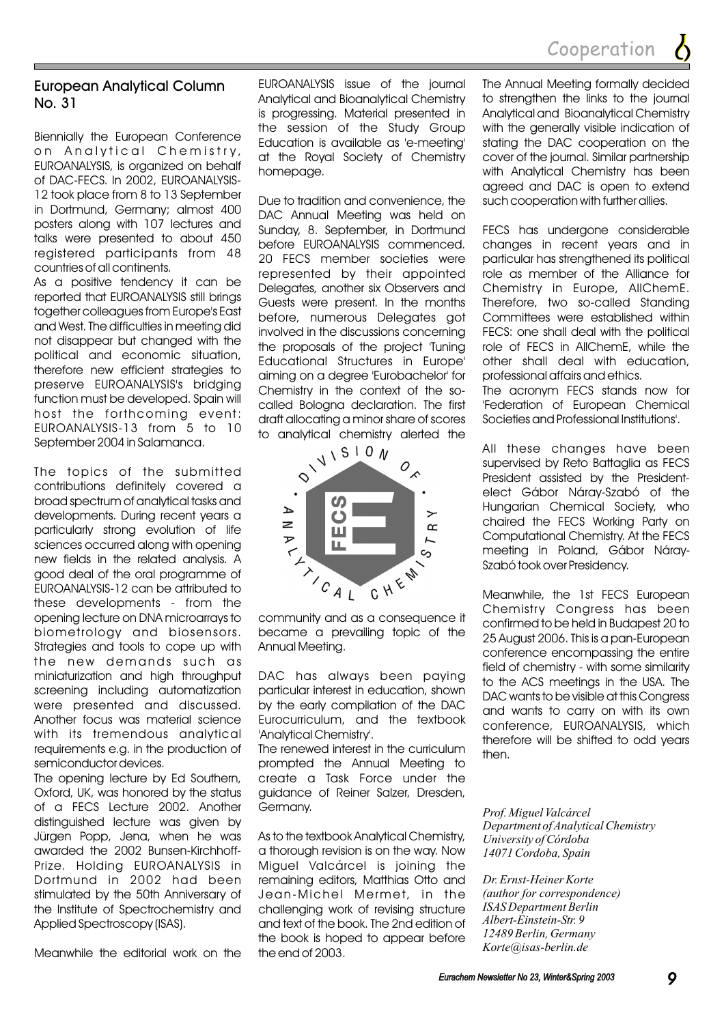

#### European Analytical Column No. 31

Biennially the European Conference on Analytical Chemistry, EUROANALYSIS, is organized on behalf of DAC-FECS. In 2002, EUROANALYSIS-12 took place from 8 to 13 September in Dortmund, Germany; almost 400 posters along with 107 lectures and talks were presented to about 450 registered participants from 48 countries of all continents.

As a positive tendency it can be reported that EUROANALYSIS still brings together colleagues from Europe's East and West. The difficulties in meeting did not disappear but changed with the political and economic situation, therefore new efficient strategies to preserve EUROANALYSIS's bridging function must be developed. Spain will host the forthcoming event: EUROANALYSIS-13 from 5 to 10 September 2004 in Salamanca.

The topics of the submitted contributions definitely covered a broad spectrum of analytical tasks and developments. During recent years a particularly strong evolution of life sciences occurred along with opening new fields in the related analysis. A good deal of the oral programme of EUROANALYSIS-12 can be attributed to these developments - from the opening lecture on DNA microarrays to biometrology and biosensors. Strategies and tools to cope up with the new demands such as miniaturization and high throughput screening including automatization were presented and discussed. Another focus was material science with its tremendous analytical requirements e.g. in the production of semiconductor devices.

The opening lecture by Ed Southern, Oxford, UK, was honored by the status of a FECS Lecture 2002. Another distinguished lecture was given by Jürgen Popp, Jena, when he was awarded the 2002 Bunsen-Kirchhoff-Prize. Holding EUROANALYSIS in Dortmund in 2002 had been stimulated by the 50th Anniversary of the Institute of Spectrochemistry and Applied Spectroscopy (ISAS).

Meanwhile the editorial work on the

EUROANALYSIS issue of the journal Analytical and Bioanalytical Chemistry is progressing. Material presented in the session of the Study Group Education is available as 'e-meeting' at the Royal Society of Chemistry homepage.

Due to tradition and convenience, the DAC Annual Meeting was held on Sunday, 8. September, in Dortmund before EUROANALYSIS commenced. 20 FECS member societies were represented by their appointed Delegates, another six Observers and Guests were present. In the months before, numerous Delegates got involved in the discussions concerning the proposals of the project 'Tuning Educational Structures in Europe' aiming on a degree 'Eurobachelor' for Chemistry in the context of the socalled Bologna declaration. The first draft allocating a minor share of scores



community and as a consequence it became a prevailing topic of the Annual Meeting.

DAC has always been paying particular interest in education, shown by the early compilation of the DAC Eurocurriculum, and the textbook 'Analytical Chemistry'.

The renewed interest in the curriculum prompted the Annual Meeting to create a Task Force under the guidance of Reiner Salzer, Dresden, Germany.

As to the textbook Analytical Chemistry, a thorough revision is on the way. Now Miguel Valcárcel is joining the remaining editors, Matthias Otto and Jean-Michel Mermet, in the challenging work of revising structure and text of the book. The 2nd edition of the book is hoped to appear before the end of 2003.

The Annual Meeting formally decided to strengthen the links to the journal Analytical and Bioanalytical Chemistry with the generally visible indication of stating the DAC cooperation on the cover of the journal. Similar partnership with Analytical Chemistry has been agreed and DAC is open to extend such cooperation with further allies.

FECS has undergone considerable changes in recent years and in particular has strengthened its political role as member of the Alliance for Chemistry in Europe, AllChemE. Therefore, two so-called Standing Committees were established within FECS: one shall deal with the political role of FECS in AllChemE, while the other shall deal with education, professional affairs and ethics.

The acronym FECS stands now for 'Federation of European Chemical Societies and Professional Institutions'.

All these changes have been supervised by Reto Battaglia as FECS President assisted by the Presidentelect Gábor Náray-Szabó of the Hungarian Chemical Society, who chaired the FECS Working Party on Computational Chemistry. At the FECS meeting in Poland, Gábor Náray-Szabó took over Presidency.

Meanwhile, the 1st FECS European Chemistry Congress has been confirmed to be held in Budapest 20 to 25 August 2006. This is a pan-European conference encompassing the entire field of chemistry - with some similarity to the ACS meetings in the USA. The DAC wants to be visible at this Congress and wants to carry on with its own conference, EUROANALYSIS, which therefore will be shifted to odd years then.

*Prof. Miguel Valcárcel Department of Analytical Chemistry University of Córdoba 14071 Cordoba, Spain*

*Dr. Ernst-Heiner Korte (author for correspondence) ISAS Department Berlin Albert-Einstein-Str. 9 12489 Berlin, Germany Korte@isas-berlin.de*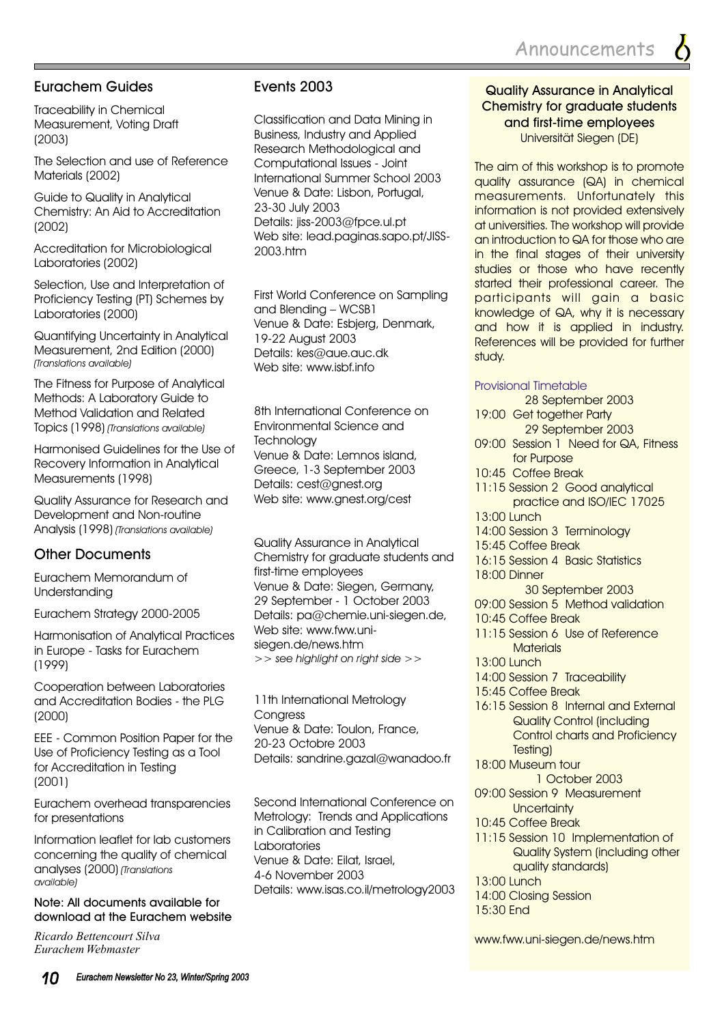#### Eurachem Guides

Traceability in Chemical Measurement, Voting Draft (2003)

The Selection and use of Reference Materials (2002)

Guide to Quality in Analytical Chemistry: An Aid to Accreditation (2002)

Accreditation for Microbiological Laboratories (2002)

Selection, Use and Interpretation of Proficiency Testing (PT) Schemes by Laboratories (2000)

Quantifying Uncertainty in Analytical Measurement, 2nd Edition (2000) *(Translations available)*

The Fitness for Purpose of Analytical Methods: A Laboratory Guide to Method Validation and Related Topics (1998) *(Translations available)*

Harmonised Guidelines for the Use of Recovery Information in Analytical Measurements (1998)

Quality Assurance for Research and Development and Non-routine Analysis (1998) *(Translations available)*

### Other Documents

Eurachem Memorandum of Understanding

Eurachem Strategy 2000-2005

Harmonisation of Analytical Practices in Europe - Tasks for Eurachem (1999)

Cooperation between Laboratories and Accreditation Bodies - the PLG (2000)

EEE - Common Position Paper for the Use of Proficiency Testing as a Tool for Accreditation in Testing (2001)

Eurachem overhead transparencies for presentations

Information leaflet for lab customers concerning the quality of chemical analyses (2000) *(Translations available)*

#### Note: All documents available for download at the Eurachem website

*Ricardo Bettencourt Silva Eurachem Webmaster*

#### Events 2003

Classification and Data Mining in Business, Industry and Applied Research Methodological and Computational Issues - Joint International Summer School 2003 Venue & Date: Lisbon, Portugal, 23-30 July 2003 Details: jiss-2003@fpce.ul.pt Web site: lead.paginas.sapo.pt/JISS-2003.htm

First World Conference on Sampling and Blending – WCSB1 Venue & Date: Esbjerg, Denmark, 19-22 August 2003 Details: kes@aue.auc.dk Web site: www.isbf.info

8th International Conference on Environmental Science and **Technology** Venue & Date: Lemnos island, Greece, 1-3 September 2003 Details: cest@gnest.org Web site: www.gnest.org/cest

Quality Assurance in Analytical Chemistry for graduate students and first-time employees Venue & Date: Siegen, Germany, 29 September - 1 October 2003 Details: pa@chemie.uni-siegen.de, Web site: www.fww.unisiegen.de/news.htm *>> see highlight on right side >>*

11th International Metrology **Congress** Venue & Date: Toulon, France, 20-23 Octobre 2003 Details: sandrine.gazal@wanadoo.fr

Second International Conference on Metrology: Trends and Applications in Calibration and Testing Laboratories Venue & Date: Eilat, Israel, 4-6 November 2003 Details: www.isas.co.il/metrology2003

#### Quality Assurance in Analytical Chemistry for graduate students and first-time employees Universität Siegen (DE)

The aim of this workshop is to promote quality assurance (QA) in chemical measurements. Unfortunately this information is not provided extensively at universities. The workshop will provide an introduction to QA for those who are in the final stages of their university studies or those who have recently started their professional career. The participants will gain a basic knowledge of QA, why it is necessary and how it is applied in industry. References will be provided for further study.

#### Provisional Timetable

- 28 September 2003
- 19:00 Get together Party 29 September 2003
- 09:00 Session 1 Need for QA, Fitness for Purpose
- 10:45 Coffee Break
- 11:15 Session 2 Good analytical practice and ISO/IEC 17025
- 13:00 Lunch
- 14:00 Session 3 Terminology
- 15:45 Coffee Break
- 16:15 Session 4 Basic Statistics 18:00 Dinner
	- 30 September 2003
- 09:00 Session 5 Method validation
- 10:45 Coffee Break
- 11:15 Session 6 Use of Reference **Materials**
- 13:00 Lunch
- 14:00 Session 7 Traceability
- 15:45 Coffee Break
- 16:15 Session 8 Internal and External Quality Control (including Control charts and Proficiency Testing)
- 18:00 Museum tour 1 October 2003
- 09:00 Session 9 Measurement **Uncertainty**
- 10:45 Coffee Break
- 11:15 Session 10 Implementation of Quality System (including other quality standards)
- 13:00 Lunch
- 14:00 Closing Session
- 15:30 End

www.fww.uni-siegen.de/news.htm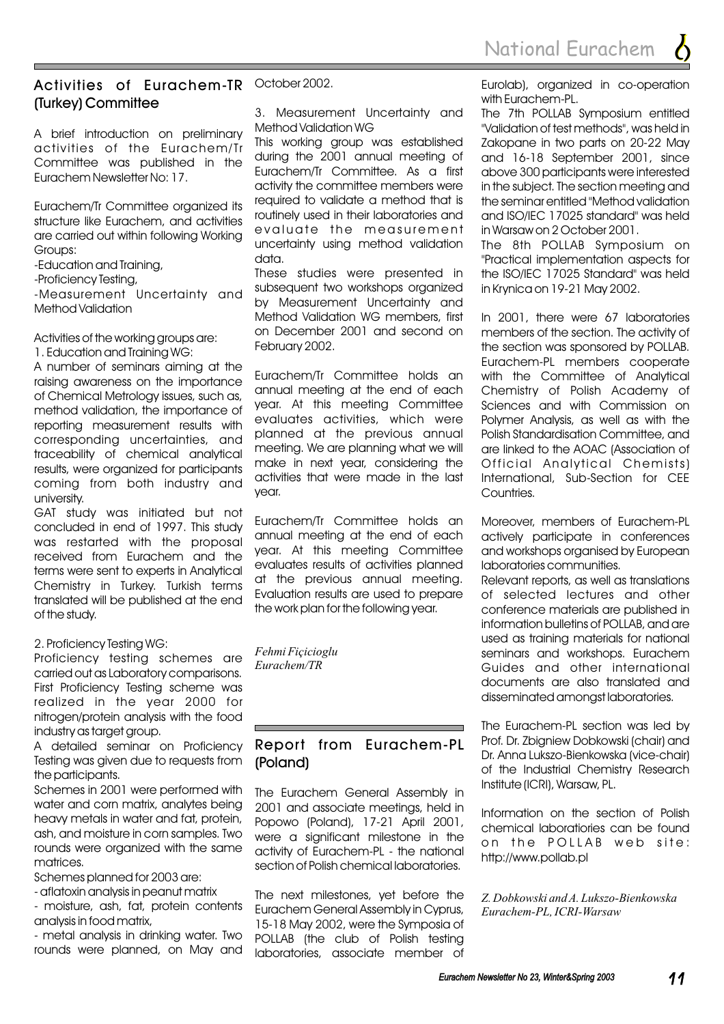#### Activities of Eurachem-TR October 2002. (Turkey) Committee

A brief introduction on preliminary activities of the Eurachem/Tr Committee was published in the Eurachem Newsletter No: 17.

Eurachem/Tr Committee organized its structure like Eurachem, and activities are carried out within following Working Groups:

-Education and Training,

-Proficiency Testing,

-Measurement Uncertainty and Method Validation

Activities of the working groups are: 1. Education and Training WG:

A number of seminars aiming at the raising awareness on the importance of Chemical Metrology issues, such as, method validation, the importance of reporting measurement results with corresponding uncertainties, and traceability of chemical analytical results, were organized for participants coming from both industry and university.

GAT study was initiated but not concluded in end of 1997. This study was restarted with the proposal received from Eurachem and the terms were sent to experts in Analytical Chemistry in Turkey. Turkish terms translated will be published at the end of the study.

#### 2. Proficiency Testing WG:

Proficiency testing schemes are carried out as Laboratory comparisons. First Proficiency Testing scheme was realized in the year 2000 for nitrogen/protein analysis with the food industry as target group.

A detailed seminar on Proficiency Testing was given due to requests from the participants.

Schemes in 2001 were performed with water and corn matrix, analytes being heavy metals in water and fat, protein, ash, and moisture in corn samples. Two rounds were organized with the same matrices.

Schemes planned for 2003 are:

- aflatoxin analysis in peanut matrix

- moisture, ash, fat, protein contents analysis in food matrix,

- metal analysis in drinking water. Two rounds were planned, on May and

3. Measurement Uncertainty and Method Validation WG

This working group was established during the 2001 annual meeting of Eurachem/Tr Committee. As a first activity the committee members were required to validate a method that is routinely used in their laboratories and evaluate the measurement uncertainty using method validation data.

These studies were presented in subsequent two workshops organized by Measurement Uncertainty and Method Validation WG members, first on December 2001 and second on February 2002.

Eurachem/Tr Committee holds an annual meeting at the end of each year. At this meeting Committee evaluates activities, which were planned at the previous annual meeting. We are planning what we will make in next year, considering the activities that were made in the last year.

Eurachem/Tr Committee holds an annual meeting at the end of each year. At this meeting Committee evaluates results of activities planned at the previous annual meeting. Evaluation results are used to prepare the work plan for the following year.

*Fehmi Fiçicioglu Eurachem/TR*

#### Report from Eurachem-PL (Poland)

The Eurachem General Assembly in 2001 and associate meetings, held in Popowo (Poland), 17-21 April 2001, were a significant milestone in the activity of Eurachem-PL - the national section of Polish chemical laboratories.

The next milestones, yet before the Eurachem General Assembly in Cyprus, 15-18 May 2002, were the Symposia of POLLAB (the club of Polish testing laboratories, associate member of

Eurolab), organized in co-operation with Eurachem-PL.

The 7th POLLAB Symposium entitled "Validation of test methods", was held in Zakopane in two parts on 20-22 May and 16-18 September 2001, since above 300 participants were interested in the subject. The section meeting and the seminar entitled "Method validation and ISO/IEC 17025 standard" was held in Warsaw on 2 October 2001.

The 8th POLLAB Symposium on "Practical implementation aspects for the ISO/IEC 17025 Standard" was held in Krynica on 19-21 May 2002.

In 2001, there were 67 laboratories members of the section. The activity of the section was sponsored by POLLAB. Eurachem-PL members cooperate with the Committee of Analytical Chemistry of Polish Academy of Sciences and with Commission on Polymer Analysis, as well as with the Polish Standardisation Committee, and are linked to the AOAC (Association of Official Analytical Chemists) International, Sub-Section for CEE Countries.

Moreover, members of Eurachem-PL actively participate in conferences and workshops organised by European laboratories communities.

Relevant reports, as well as translations of selected lectures and other conference materials are published in information bulletins of POLLAB, and are used as training materials for national seminars and workshops. Eurachem Guides and other international documents are also translated and disseminated amongst laboratories.

The Eurachem-PL section was led by Prof. Dr. Zbigniew Dobkowski (chair) and Dr. Anna Lukszo-Bienkowska (vice-chair) of the Industrial Chemistry Research Institute (ICRI), Warsaw, PL.

Information on the section of Polish chemical laboratiories can be found on the POLLAB web site: http://www.pollab.pl

*Z. Dobkowski and A. Lukszo-Bienkowska Eurachem-PL, ICRI-Warsaw*